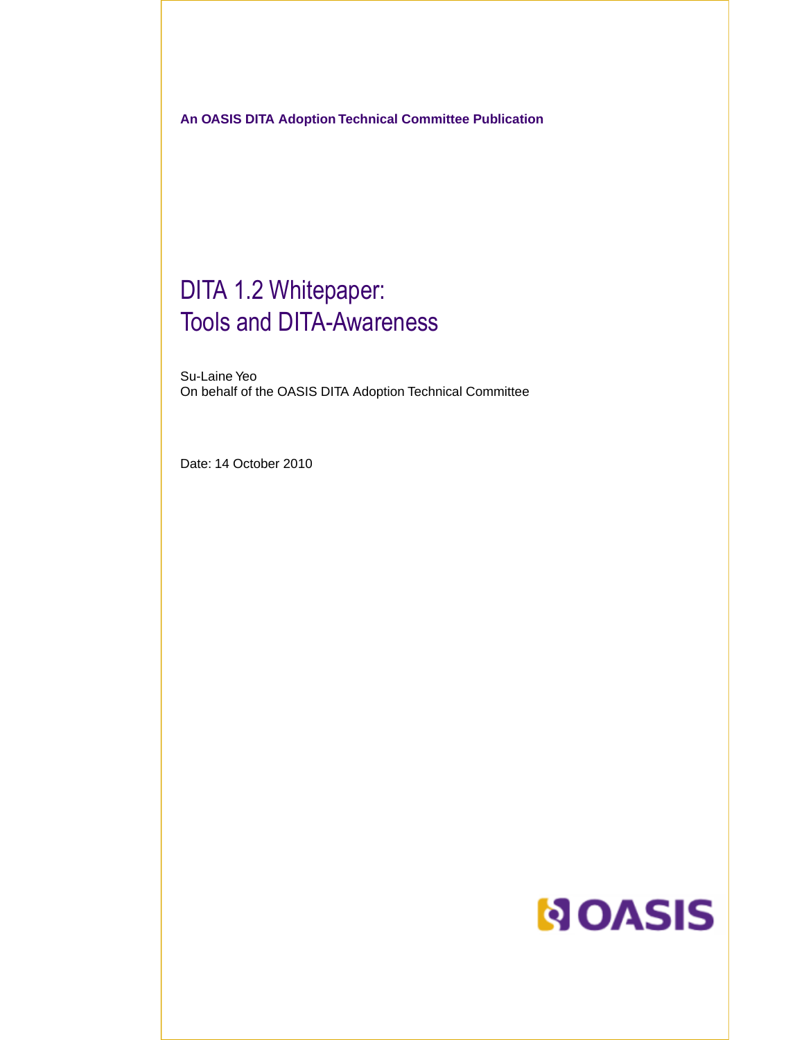**An OASIS DITA Adoption Technical Committee Publication**

## DITA 1.2 Whitepaper: Tools and DITA-Awareness

Su-Laine Yeo On behalf of the OASIS DITA Adoption Technical Committee

Date: 14 October 2010

# **NOASIS**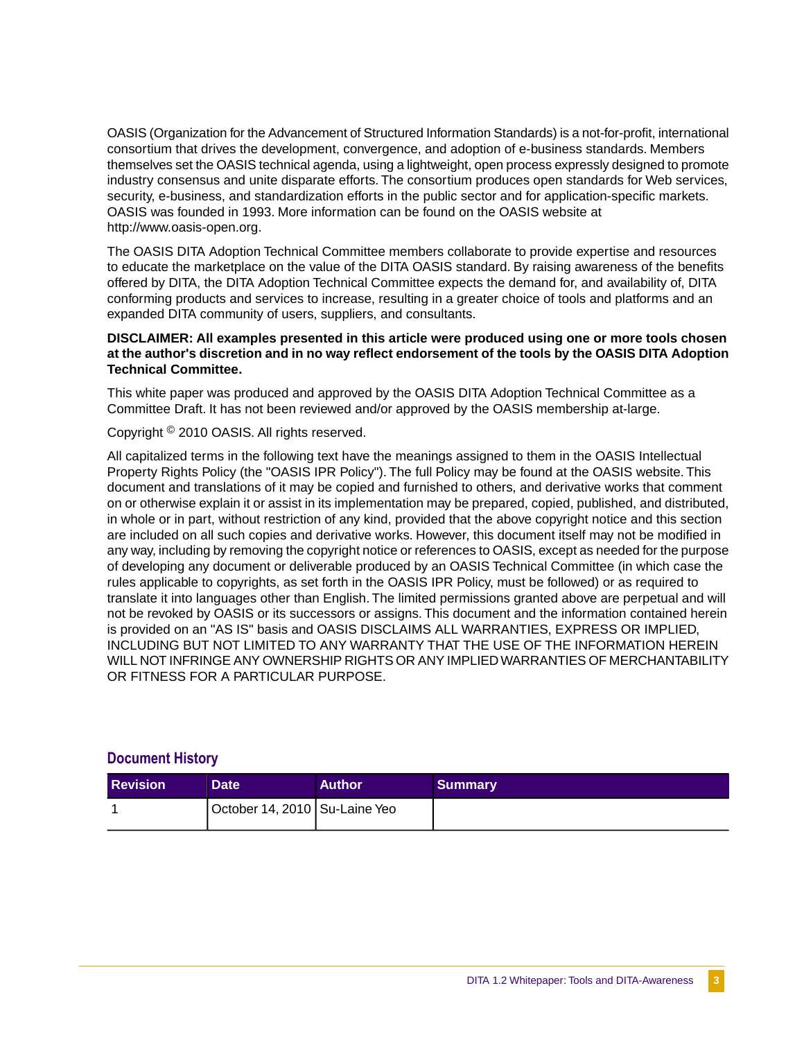OASIS (Organization for the Advancement of Structured Information Standards) is a not-for-profit, international consortium that drives the development, convergence, and adoption of e-business standards. Members themselves set the OASIS technical agenda, using a lightweight, open process expressly designed to promote industry consensus and unite disparate efforts. The consortium produces open standards for Web services, security, e-business, and standardization efforts in the public sector and for application-specific markets. OASIS was founded in 1993. More information can be found on the OASIS website at http://www.oasis-open.org.

The OASIS DITA Adoption Technical Committee members collaborate to provide expertise and resources to educate the marketplace on the value of the DITA OASIS standard. By raising awareness of the benefits offered by DITA, the DITA Adoption Technical Committee expects the demand for, and availability of, DITA conforming products and services to increase, resulting in a greater choice of tools and platforms and an expanded DITA community of users, suppliers, and consultants.

#### **DISCLAIMER: All examples presented in this article were produced using one or more tools chosen at the author's discretion and in no way reflect endorsement of the tools by the OASIS DITA Adoption Technical Committee.**

This white paper was produced and approved by the OASIS DITA Adoption Technical Committee as a Committee Draft. It has not been reviewed and/or approved by the OASIS membership at-large.

### Copyright © 2010 OASIS. All rights reserved.

All capitalized terms in the following text have the meanings assigned to them in the OASIS Intellectual Property Rights Policy (the "OASIS IPR Policy"). The full Policy may be found at the OASIS website. This document and translations of it may be copied and furnished to others, and derivative works that comment on or otherwise explain it or assist in its implementation may be prepared, copied, published, and distributed, in whole or in part, without restriction of any kind, provided that the above copyright notice and this section are included on all such copies and derivative works. However, this document itself may not be modified in any way, including by removing the copyright notice or references to OASIS, except as needed for the purpose of developing any document or deliverable produced by an OASIS Technical Committee (in which case the rules applicable to copyrights, as set forth in the OASIS IPR Policy, must be followed) or as required to translate it into languages other than English. The limited permissions granted above are perpetual and will not be revoked by OASIS or its successors or assigns. This document and the information contained herein is provided on an "AS IS" basis and OASIS DISCLAIMS ALL WARRANTIES, EXPRESS OR IMPLIED, INCLUDING BUT NOT LIMITED TO ANY WARRANTY THAT THE USE OF THE INFORMATION HEREIN WILL NOT INFRINGE ANY OWNERSHIP RIGHTS OR ANY IMPLIED WARRANTIES OF MERCHANTABILITY OR FITNESS FOR A PARTICULAR PURPOSE.

### **Document History**

| <b>Revision</b> | <b>Date</b>                       | Author | <b>Summary</b> |
|-----------------|-----------------------------------|--------|----------------|
|                 | l October 14, 2010   Su-Laine Yeo |        |                |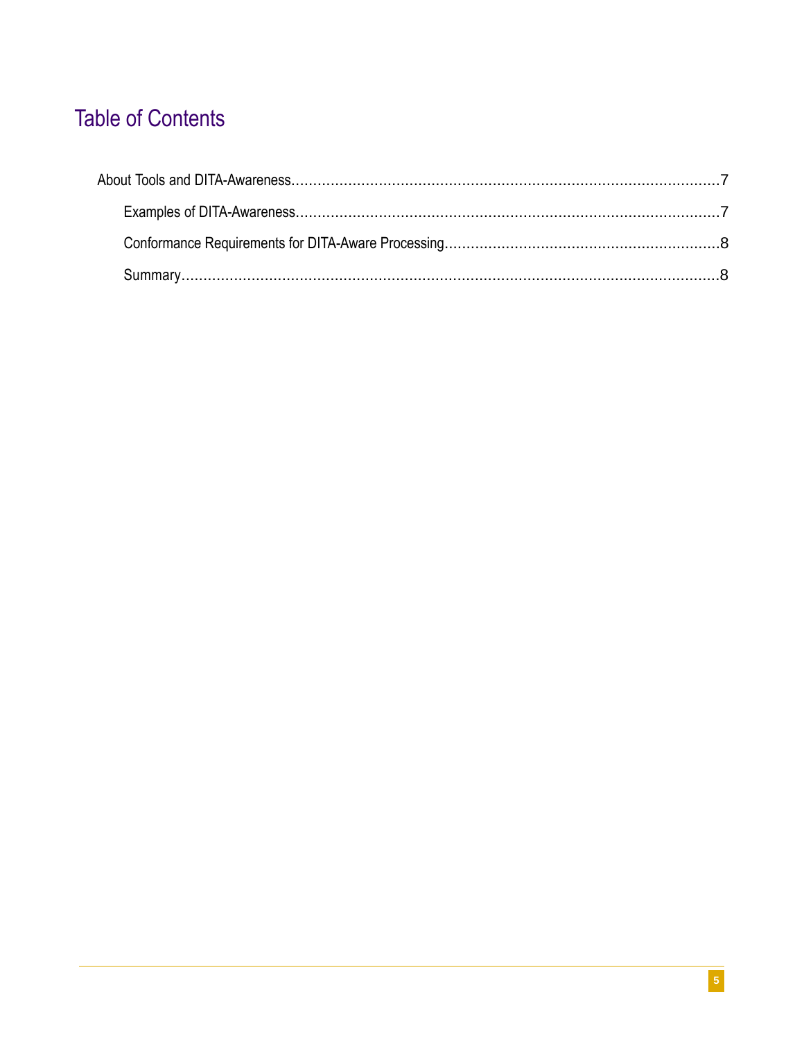### **Table of Contents**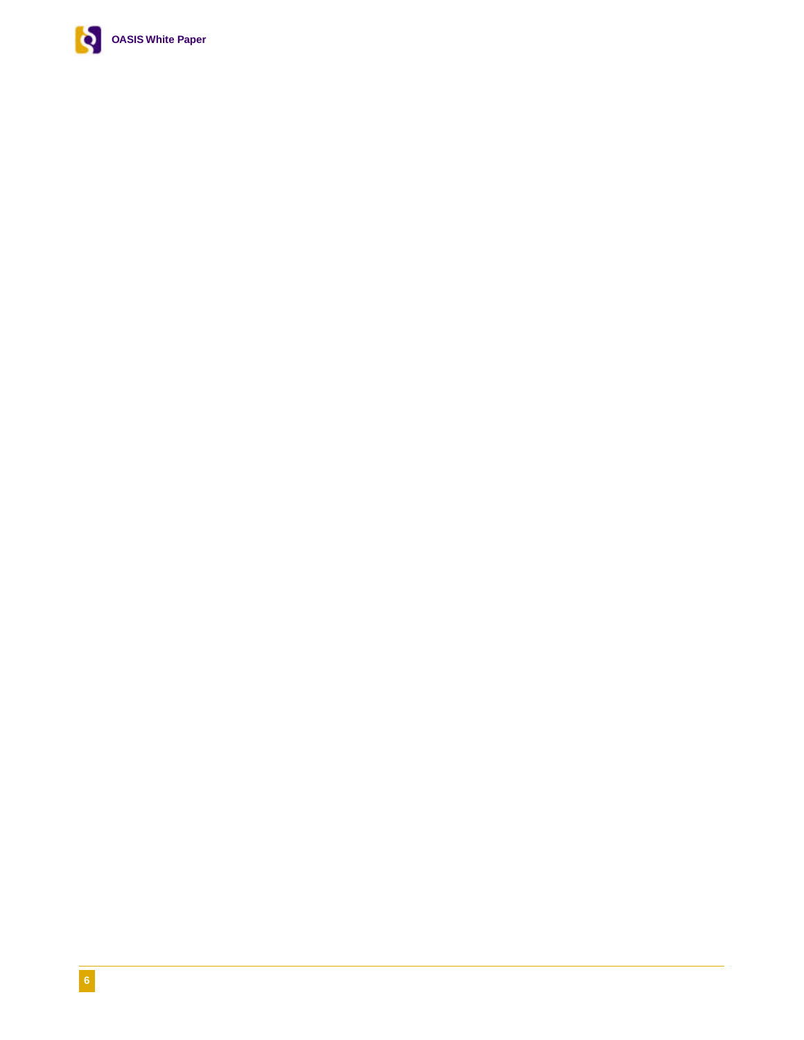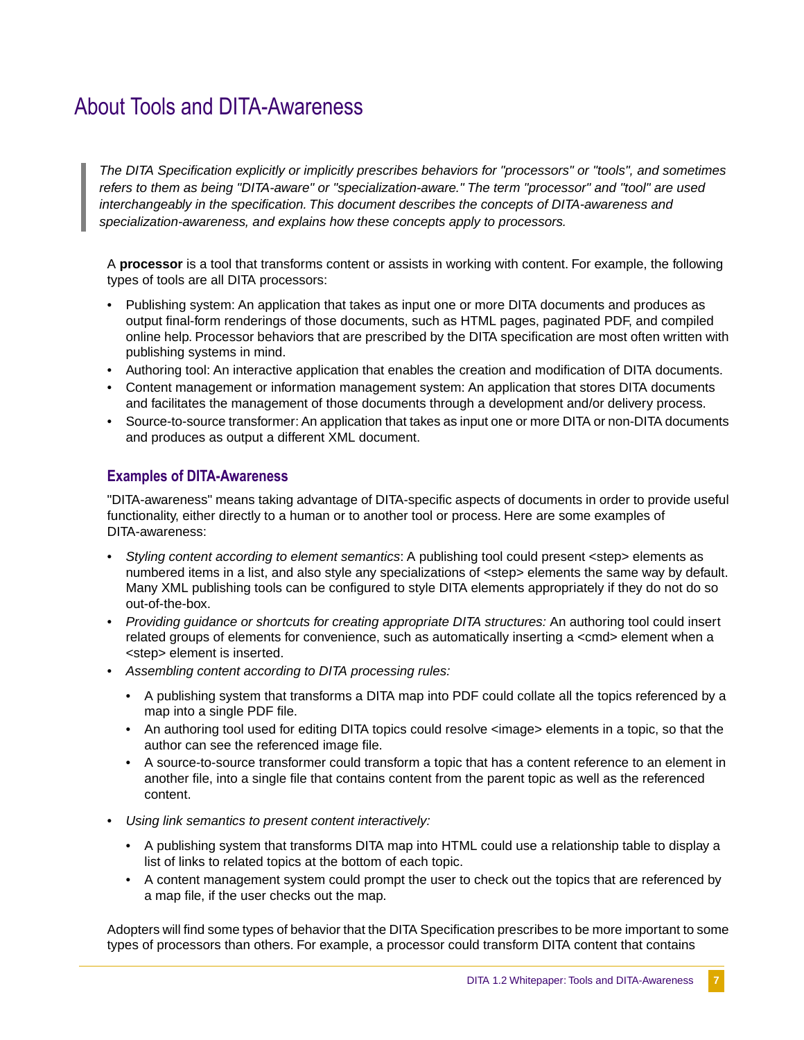### <span id="page-6-0"></span>About Tools and DITA-Awareness

*The DITA Specification explicitly or implicitly prescribes behaviors for "processors" or "tools", and sometimes refers to them as being "DITA-aware" or "specialization-aware." The term "processor" and "tool" are used interchangeably in the specification. This document describes the concepts of DITA-awareness and specialization-awareness, and explains how these concepts apply to processors.*

A **processor** is a tool that transforms content or assists in working with content. For example, the following types of tools are all DITA processors:

- Publishing system: An application that takes as input one or more DITA documents and produces as output final-form renderings of those documents, such as HTML pages, paginated PDF, and compiled online help. Processor behaviors that are prescribed by the DITA specification are most often written with publishing systems in mind.
- Authoring tool: An interactive application that enables the creation and modification of DITA documents.
- Content management or information management system: An application that stores DITA documents and facilitates the management of those documents through a development and/or delivery process.
- <span id="page-6-1"></span>• Source-to-source transformer: An application that takes as input one or more DITA or non-DITA documents and produces as output a different XML document.

### **Examples of DITA-Awareness**

"DITA-awareness" means taking advantage of DITA-specific aspects of documents in order to provide useful functionality, either directly to a human or to another tool or process. Here are some examples of DITA-awareness:

- *Styling content according to element semantics*: A publishing tool could present <step> elements as numbered items in a list, and also style any specializations of <step> elements the same way by default. Many XML publishing tools can be configured to style DITA elements appropriately if they do not do so out-of-the-box.
- *Providing guidance or shortcuts for creating appropriate DITA structures:* An authoring tool could insert related groups of elements for convenience, such as automatically inserting a <cmd> element when a <step> element is inserted.
- *Assembling content according to DITA processing rules:*
	- A publishing system that transforms a DITA map into PDF could collate all the topics referenced by a map into a single PDF file.
	- An authoring tool used for editing DITA topics could resolve <image> elements in a topic, so that the author can see the referenced image file.
	- A source-to-source transformer could transform a topic that has a content reference to an element in another file, into a single file that contains content from the parent topic as well as the referenced content.
- *Using link semantics to present content interactively:*
	- A publishing system that transforms DITA map into HTML could use a relationship table to display a list of links to related topics at the bottom of each topic.
	- A content management system could prompt the user to check out the topics that are referenced by a map file, if the user checks out the map.

Adopters will find some types of behavior that the DITA Specification prescribes to be more important to some types of processors than others. For example, a processor could transform DITA content that contains